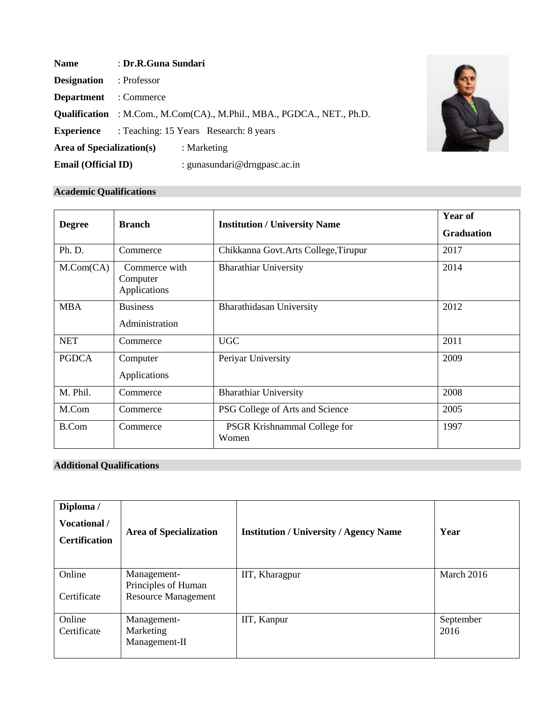| <b>Name</b>                    | : Dr.R.Guna Sundari                                                           |
|--------------------------------|-------------------------------------------------------------------------------|
| <b>Designation</b> : Professor |                                                                               |
| <b>Department</b> : Commerce   |                                                                               |
|                                | <b>Qualification</b> : M.Com., M.Com(CA)., M.Phil., MBA., PGDCA., NET., Ph.D. |
| <b>Experience</b>              | : Teaching: 15 Years Research: 8 years                                        |
| Area of Specialization(s)      | : Marketing                                                                   |
| <b>Email (Official ID)</b>     | : gunasundari@drngpasc.ac.in                                                  |



# **Academic Qualifications**

| <b>Degree</b>      | <b>Branch</b>                             | <b>Institution / University Name</b>  | Year of<br><b>Graduation</b> |
|--------------------|-------------------------------------------|---------------------------------------|------------------------------|
| Ph. D.             | Commerce                                  | Chikkanna Govt. Arts College, Tirupur | 2017                         |
| $M_{\cdot}Com(CA)$ | Commerce with<br>Computer<br>Applications | <b>Bharathiar University</b>          | 2014                         |
| <b>MBA</b>         | <b>Business</b><br>Administration         | Bharathidasan University              | 2012                         |
| <b>NET</b>         | Commerce                                  | <b>UGC</b>                            | 2011                         |
| <b>PGDCA</b>       | Computer<br>Applications                  | Periyar University                    | 2009                         |
| M. Phil.           | Commerce                                  | <b>Bharathiar University</b>          | 2008                         |
| M.Com              | Commerce                                  | PSG College of Arts and Science       | 2005                         |
| <b>B.Com</b>       | Commerce                                  | PSGR Krishnammal College for<br>Women | 1997                         |

# **Additional Qualifications**

| Diploma /<br>Vocational /<br><b>Certification</b> | <b>Area of Specialization</b>                                    | <b>Institution / University / Agency Name</b> | Year              |
|---------------------------------------------------|------------------------------------------------------------------|-----------------------------------------------|-------------------|
| Online<br>Certificate                             | Management-<br>Principles of Human<br><b>Resource Management</b> | IIT, Kharagpur                                | March 2016        |
| Online<br>Certificate                             | Management-<br>Marketing<br>Management-II                        | IIT, Kanpur                                   | September<br>2016 |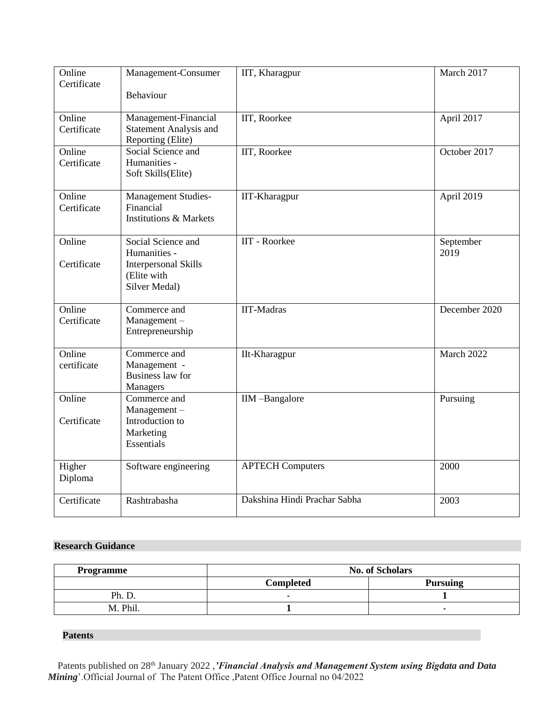| Online<br>Certificate | Management-Consumer<br>Behaviour                                                                  | IIT, Kharagpur               | March 2017        |
|-----------------------|---------------------------------------------------------------------------------------------------|------------------------------|-------------------|
| Online<br>Certificate | Management-Financial<br><b>Statement Analysis and</b><br>Reporting (Elite)                        | IIT, Roorkee                 | April 2017        |
| Online<br>Certificate | Social Science and<br>Humanities -<br>Soft Skills(Elite)                                          | IIT, Roorkee                 | October 2017      |
| Online<br>Certificate | Management Studies-<br>Financial<br><b>Institutions &amp; Markets</b>                             | IIT-Kharagpur                | April 2019        |
| Online<br>Certificate | Social Science and<br>Humanities -<br><b>Interpersonal Skills</b><br>(Elite with<br>Silver Medal) | IIT - Roorkee                | September<br>2019 |
| Online<br>Certificate | Commerce and<br>Management-<br>Entrepreneurship                                                   | IIT-Madras                   | December 2020     |
| Online<br>certificate | Commerce and<br>Management -<br><b>Business law for</b><br>Managers                               | IIt-Kharagpur                | March 2022        |
| Online<br>Certificate | Commerce and<br>Management-<br>Introduction to<br>Marketing<br><b>Essentials</b>                  | IIM-Bangalore                | Pursuing          |
| Higher<br>Diploma     | Software engineering                                                                              | <b>APTECH Computers</b>      | 2000              |
| Certificate           | Rashtrabasha                                                                                      | Dakshina Hindi Prachar Sabha | 2003              |

# **Research Guidance**

| <b>Programme</b> | <b>No. of Scholars</b> |                 |
|------------------|------------------------|-----------------|
|                  | <b>Completed</b>       | <b>Pursuing</b> |
| Ph. D            |                        |                 |
| M. Phil.         |                        |                 |

# **Patents**

Patents published on 28<sup>th</sup> January 2022, *'Financial Analysis and Management System using Bigdata and Data Mining*'.Official Journal of The Patent Office ,Patent Office Journal no 04/2022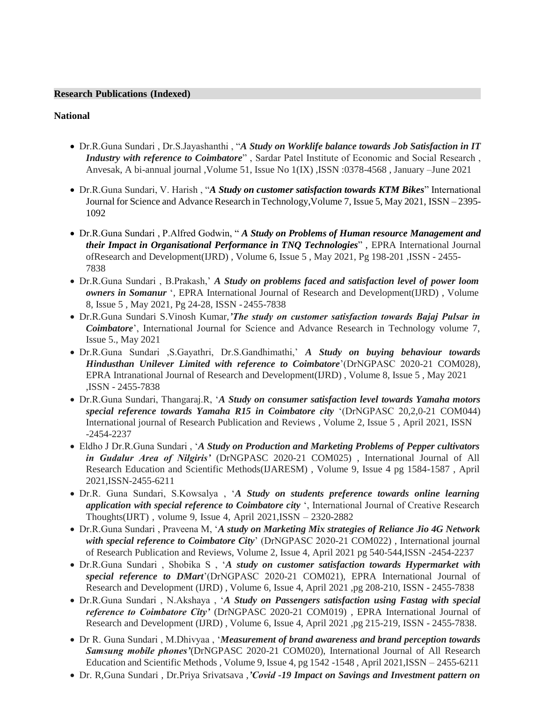## **Research Publications (Indexed)**

#### **National**

- Dr.R.Guna Sundari , Dr.S.Jayashanthi , "*A Study on Worklife balance towards Job Satisfaction in IT Industry with reference to Coimbatore*" , Sardar Patel Institute of Economic and Social Research , Anvesak, A bi-annual journal ,Volume 51, Issue No 1(IX) ,ISSN :0378-4568 , January –June 2021
- Dr.R.Guna Sundari, V. Harish , "*A Study on customer satisfaction towards KTM Bikes*" International Journal for Science and Advance Research in Technology,Volume 7, Issue 5, May 2021, ISSN – 2395- 1092
- Dr.R.Guna Sundari , P.Alfred Godwin, " *A Study on Problems of Human resource Management and their Impact in Organisational Performance in TNQ Technologies*" , EPRA International Journal ofResearch and Development(IJRD) , Volume 6, Issue 5 , May 2021, Pg 198-201 ,ISSN - 2455- 7838
- Dr.R.Guna Sundari , B.Prakash,' *A Study on problems faced and satisfaction level of power loom owners in Somanur* ', EPRA International Journal of Research and Development(IJRD) , Volume 8, Issue 5 , May 2021, Pg 24-28, ISSN -2455-7838
- Dr.R.Guna Sundari S.Vinosh Kumar,*'The study on customer satisfaction towards Bajaj Pulsar in Coimbatore*', International Journal for Science and Advance Research in Technology volume 7, Issue 5., May 2021
- Dr.R.Guna Sundari ,S.Gayathri, Dr.S.Gandhimathi,' *A Study on buying behaviour towards Hindusthan Unilever Limited with reference to Coimbatore*'(DrNGPASC 2020-21 COM028), EPRA Intranational Journal of Research and Development(IJRD) , Volume 8, Issue 5 , May 2021 ,ISSN - 2455-7838
- Dr.R.Guna Sundari, Thangaraj.R, '*A Study on consumer satisfaction level towards Yamaha motors special reference towards Yamaha R15 in Coimbatore city* '(DrNGPASC 20,2,0-21 COM044) International journal of Research Publication and Reviews , Volume 2, Issue 5 , April 2021, ISSN -2454-2237
- Eldho J Dr.R.Guna Sundari , '*A Study on Production and Marketing Problems of Pepper cultivators in Gudalur Area of Nilgiris'* (DrNGPASC 2020-21 COM025) , International Journal of All Research Education and Scientific Methods(IJARESM) , Volume 9, Issue 4 pg 1584-1587 , April 2021,ISSN-2455-6211
- Dr.R. Guna Sundari, S.Kowsalya , '*A Study on students preference towards online learning application with special reference to Coimbatore city* ', International Journal of Creative Research Thoughts(IJRT) , volume 9, Issue 4, April 2021,ISSN – 2320-2882
- Dr.R.Guna Sundari , Praveena M, '*A study on Marketing Mix strategies of Reliance Jio 4G Network with special reference to Coimbatore City*' (DrNGPASC 2020-21 COM022) , International journal of Research Publication and Reviews, Volume 2, Issue 4, April 2021 pg 540-544,ISSN -2454-2237
- Dr.R.Guna Sundari , Shobika S , '*A study on customer satisfaction towards Hypermarket with special reference to DMart*'(DrNGPASC 2020-21 COM021), EPRA International Journal of Research and Development (IJRD) , Volume 6, Issue 4, April 2021 ,pg 208-210, ISSN - 2455-7838
- Dr.R.Guna Sundari , N.Akshaya , '*A Study on Passengers satisfaction using Fastag with special reference to Coimbatore City'* (DrNGPASC 2020-21 COM019) , EPRA International Journal of Research and Development (IJRD) , Volume 6, Issue 4, April 2021 ,pg 215-219, ISSN - 2455-7838.
- Dr R. Guna Sundari , M.Dhivyaa , '*Measurement of brand awareness and brand perception towards Samsung mobile phones'*(DrNGPASC 2020-21 COM020), International Journal of All Research Education and Scientific Methods , Volume 9, Issue 4, pg 1542 -1548 , April 2021,ISSN – 2455-6211
- Dr. R,Guna Sundari , Dr.Priya Srivatsava ,*'Covid -19 Impact on Savings and Investment pattern on*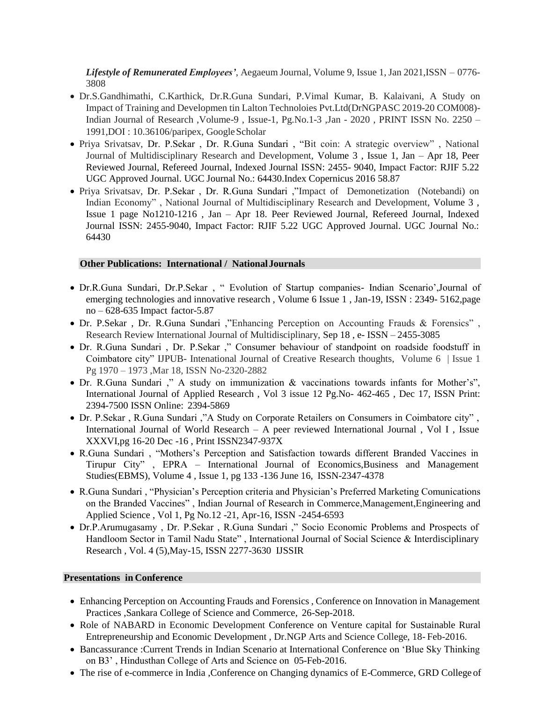*Lifestyle of Remunerated Employees'*, Aegaeum Journal, Volume 9, Issue 1, Jan 2021,ISSN – 0776- 3808

- Dr.S.Gandhimathi, C.Karthick, Dr.R.Guna Sundari, P.Vimal Kumar, B. Kalaivani, A Study on Impact of Training and Developmen tin Lalton Technoloies Pvt.Ltd(DrNGPASC 2019-20 COM008)- Indian Journal of Research ,Volume-9 , Issue-1, Pg.No.1-3 ,Jan - 2020 , PRINT ISSN No. 2250 – 1991,DOI : 10.36106/paripex, GoogleScholar
- Priya Srivatsav, Dr. P.Sekar , Dr. R.Guna Sundari , "Bit coin: A strategic overview" , National Journal of Multidisciplinary Research and Development, Volume 3 , Issue 1, Jan – Apr 18, Peer Reviewed Journal, Refereed Journal, Indexed Journal ISSN: 2455- 9040, Impact Factor: RJIF 5.22 UGC Approved Journal. UGC Journal No.: 64430.Index Copernicus 2016 58.87
- Priya Srivatsav, Dr. P.Sekar , Dr. R.Guna Sundari ,"Impact of Demonetization (Notebandi) on Indian Economy" , National Journal of Multidisciplinary Research and Development, Volume 3 , Issue 1 page No1210-1216 , Jan – Apr 18. Peer Reviewed Journal, Refereed Journal, Indexed Journal ISSN: 2455-9040, Impact Factor: RJIF 5.22 UGC Approved Journal. UGC Journal No.: 64430

# **Other Publications: International / NationalJournals**

- Dr.R.Guna Sundari, Dr.P.Sekar , " Evolution of Startup companies- Indian Scenario',Journal of emerging technologies and innovative research , Volume 6 Issue 1 , Jan-19, ISSN : 2349- 5162,page no – 628-635 Impact factor-5.87
- Dr. P.Sekar , Dr. R.Guna Sundari ,"Enhancing Perception on Accounting Frauds & Forensics" , Research Review International Journal of Multidisciplinary, Sep 18 , e- ISSN – 2455-3085
- Dr. R.Guna Sundari , Dr. P.Sekar ," Consumer behaviour of standpoint on roadside foodstuff in Coimbatore city" IJPUB- Intenational Journal of Creative Research thoughts, Volume 6 | Issue 1 Pg 1970 – 1973 ,Mar 18, ISSN No-2320-2882
- Dr. R.Guna Sundari ," A study on immunization & vaccinations towards infants for Mother's", International Journal of Applied Research , Vol 3 issue 12 Pg.No- 462-465 , Dec 17, ISSN Print: 2394-7500 ISSN Online: 2394-5869
- Dr. P.Sekar , R.Guna Sundari ,"A Study on Corporate Retailers on Consumers in Coimbatore city" , International Journal of World Research – A peer reviewed International Journal , Vol I , Issue XXXVI,pg 16-20 Dec -16 , Print ISSN2347-937X
- R.Guna Sundari , "Mothers's Perception and Satisfaction towards different Branded Vaccines in Tirupur City" , EPRA – International Journal of Economics,Business and Management Studies(EBMS), Volume 4 , Issue 1, pg 133 -136 June 16, ISSN-2347-4378
- R.Guna Sundari , "Physician's Perception criteria and Physician's Preferred Marketing Comunications on the Branded Vaccines" , Indian Journal of Research in Commerce,Management,Engineering and Applied Science , Vol 1, Pg No.12 -21, Apr-16, ISSN -2454-6593
- Dr.P.Arumugasamy , Dr. P.Sekar , R.Guna Sundari ," Socio Economic Problems and Prospects of Handloom Sector in Tamil Nadu State" , International Journal of Social Science & Interdisciplinary Research , Vol. 4 (5),May-15, ISSN 2277-3630 IJSSIR

#### **Presentations in Conference**

- Enhancing Perception on Accounting Frauds and Forensics , Conference on Innovation in Management Practices ,Sankara College of Science and Commerce, 26-Sep-2018.
- Role of NABARD in Economic Development Conference on Venture capital for Sustainable Rural Entrepreneurship and Economic Development , Dr.NGP Arts and Science College, 18- Feb-2016.
- Bancassurance :Current Trends in Indian Scenario at International Conference on 'Blue Sky Thinking on B3' , Hindusthan College of Arts and Science on 05-Feb-2016.
- The rise of e-commerce in India ,Conference on Changing dynamics of E-Commerce, GRD College of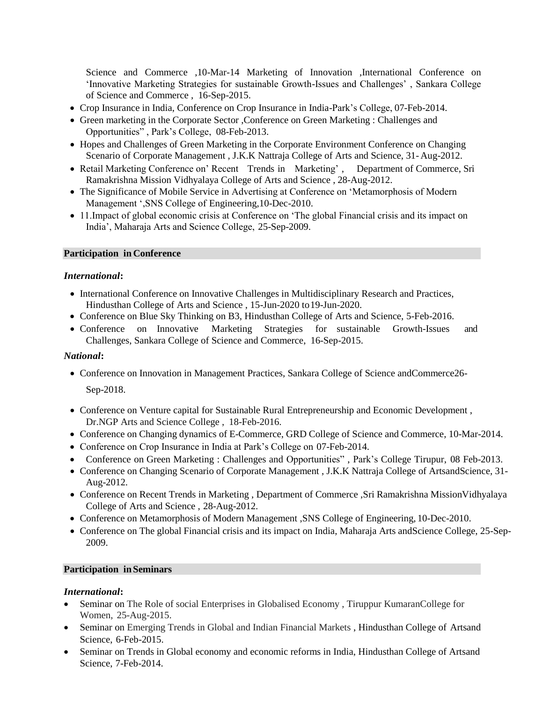Science and Commerce ,10-Mar-14 Marketing of Innovation ,International Conference on 'Innovative Marketing Strategies for sustainable Growth-Issues and Challenges' , Sankara College of Science and Commerce , 16-Sep-2015.

- Crop Insurance in India, Conference on Crop Insurance in India-Park's College, 07-Feb-2014.
- Green marketing in the Corporate Sector ,Conference on Green Marketing : Challenges and Opportunities" , Park's College, 08-Feb-2013.
- Hopes and Challenges of Green Marketing in the Corporate Environment Conference on Changing Scenario of Corporate Management , J.K.K Nattraja College of Arts and Science, 31- Aug-2012.
- Retail Marketing Conference on' Recent Trends in Marketing', Department of Commerce, Sri Ramakrishna Mission Vidhyalaya College of Arts and Science , 28-Aug-2012.
- The Significance of Mobile Service in Advertising at Conference on 'Metamorphosis of Modern Management ',SNS College of Engineering,10-Dec-2010.
- 11. Impact of global economic crisis at Conference on 'The global Financial crisis and its impact on India', Maharaja Arts and Science College, 25-Sep-2009.

# **Participation in Conference**

## *International***:**

- International Conference on Innovative Challenges in Multidisciplinary Research and Practices, Hindusthan College of Arts and Science , 15-Jun-2020 to19-Jun-2020.
- Conference on Blue Sky Thinking on B3, Hindusthan College of Arts and Science, 5-Feb-2016.
- Conference on Innovative Marketing Strategies for sustainable Growth-Issues and Challenges, Sankara College of Science and Commerce, 16-Sep-2015.

# *National***:**

• Conference on Innovation in Management Practices, Sankara College of Science andCommerce26-

Sep-2018.

- Conference on Venture capital for Sustainable Rural Entrepreneurship and Economic Development , Dr.NGP Arts and Science College , 18-Feb-2016.
- Conference on Changing dynamics of E-Commerce, GRD College of Science and Commerce, 10-Mar-2014.
- Conference on Crop Insurance in India at Park's College on 07-Feb-2014.
- Conference on Green Marketing : Challenges and Opportunities", Park's College Tirupur, 08 Feb-2013.
- Conference on Changing Scenario of Corporate Management , J.K.K Nattraja College of ArtsandScience, 31- Aug-2012.
- Conference on Recent Trends in Marketing , Department of Commerce ,Sri Ramakrishna MissionVidhyalaya College of Arts and Science , 28-Aug-2012.
- Conference on Metamorphosis of Modern Management ,SNS College of Engineering, 10-Dec-2010.
- Conference on The global Financial crisis and its impact on India, Maharaja Arts andScience College, 25-Sep-2009.

#### **Participation in Seminars**

# *International***:**

- Seminar on The Role of social Enterprises in Globalised Economy, Tiruppur KumaranCollege for Women, 25-Aug-2015.
- Seminar on Emerging Trends in Global and Indian Financial Markets, Hindusthan College of Artsand Science, 6-Feb-2015.
- Seminar on Trends in Global economy and economic reforms in India, Hindusthan College of Artsand Science, 7-Feb-2014.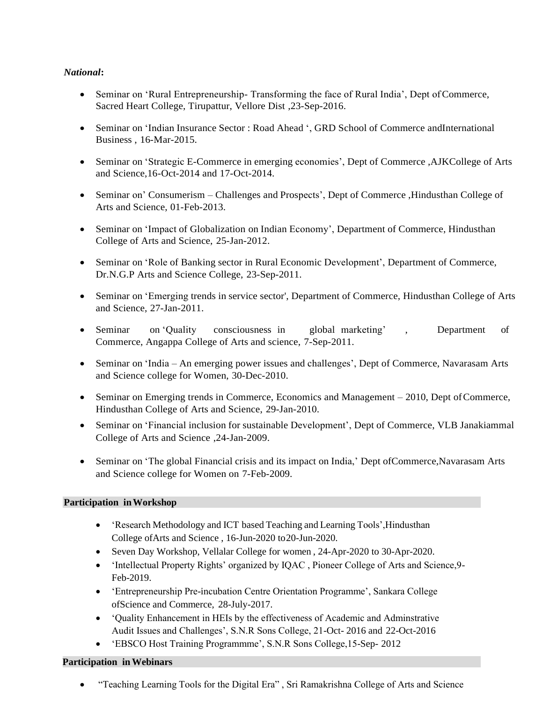# *National***:**

- Seminar on 'Rural Entrepreneurship-Transforming the face of Rural India', Dept of Commerce, Sacred Heart College, Tirupattur, Vellore Dist ,23-Sep-2016.
- Seminar on 'Indian Insurance Sector : Road Ahead ', GRD School of Commerce andInternational Business , 16-Mar-2015.
- Seminar on 'Strategic E-Commerce in emerging economies', Dept of Commerce, AJKCollege of Arts and Science,16-Oct-2014 and 17-Oct-2014.
- Seminar on' Consumerism Challenges and Prospects', Dept of Commerce , Hindusthan College of Arts and Science, 01-Feb-2013.
- Seminar on 'Impact of Globalization on Indian Economy', Department of Commerce, Hindusthan College of Arts and Science, 25-Jan-2012.
- Seminar on 'Role of Banking sector in Rural Economic Development', Department of Commerce, Dr.N.G.P Arts and Science College, 23-Sep-2011.
- Seminar on 'Emerging trends in service sector', Department of Commerce, Hindusthan College of Arts and Science, 27-Jan-2011.
- Seminar on 'Quality consciousness in global marketing', Department of Commerce, Angappa College of Arts and science, 7-Sep-2011.
- Seminar on 'India An emerging power issues and challenges', Dept of Commerce, Navarasam Arts and Science college for Women, 30-Dec-2010.
- Seminar on Emerging trends in Commerce, Economics and Management 2010, Dept of Commerce, Hindusthan College of Arts and Science, 29-Jan-2010.
- Seminar on 'Financial inclusion for sustainable Development', Dept of Commerce, VLB Janakiammal College of Arts and Science ,24-Jan-2009.
- Seminar on 'The global Financial crisis and its impact on India,' Dept of Commerce, Navarasam Arts and Science college for Women on 7-Feb-2009.

# **Participation inWorkshop**

- Seearch Methodology and ICT based Teaching and Learning Tools', Hindusthan College ofArts and Science , 16-Jun-2020 to20-Jun-2020.
- Seven Day Workshop, Vellalar College for women , 24-Apr-2020 to 30-Apr-2020.
- 'Intellectual Property Rights' organized by IQAC , Pioneer College of Arts and Science,9- Feb-2019.
- 'Entrepreneurship Pre-incubation Centre Orientation Programme', Sankara College ofScience and Commerce, 28-July-2017.
- 'Quality Enhancement in HEIs by the effectiveness of Academic and Adminstrative Audit Issues and Challenges', S.N.R Sons College, 21-Oct- 2016 and 22-Oct-2016
- 'EBSCO Host Training Programmme', S.N.R Sons College,15-Sep- 2012

# **Participation inWebinars**

• "Teaching Learning Tools for the Digital Era" , Sri Ramakrishna College of Arts and Science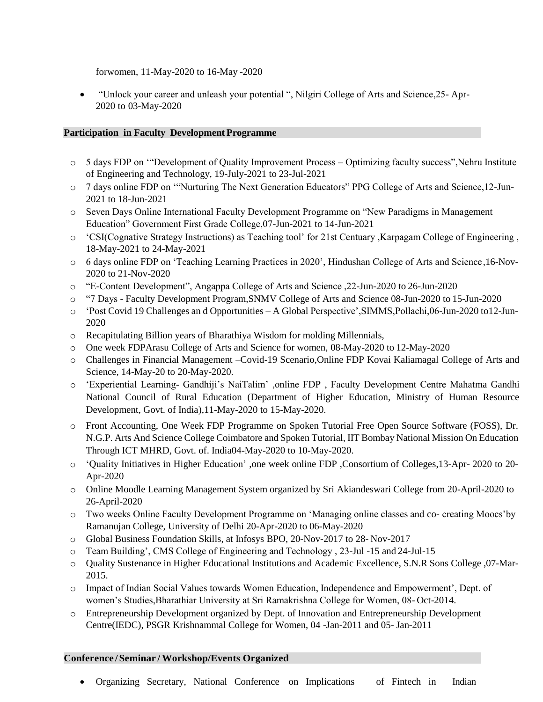forwomen, 11-May-2020 to 16-May -2020

• "Unlock your career and unleash your potential ", Nilgiri College of Arts and Science,25- Apr-2020 to 03-May-2020

# **Participation in Faculty Development Programme**

- o 5 days FDP on '"Development of Quality Improvement Process Optimizing faculty success",Nehru Institute of Engineering and Technology, 19-July-2021 to 23-Jul-2021
- o 7 days online FDP on '"Nurturing The Next Generation Educators" PPG College of Arts and Science,12-Jun-2021 to 18-Jun-2021
- o Seven Days Online International Faculty Development Programme on "New Paradigms in Management Education" Government First Grade College,07-Jun-2021 to 14-Jun-2021
- o 'CSI(Cognative Strategy Instructions) as Teaching tool' for 21st Centuary ,Karpagam College of Engineering , 18-May-2021 to 24-May-2021
- o 6 days online FDP on 'Teaching Learning Practices in 2020', Hindushan College of Arts and Science,16-Nov-2020 to 21-Nov-2020
- o "E-Content Development", Angappa College of Arts and Science ,22-Jun-2020 to 26-Jun-2020
- o "7 Days Faculty Development Program,SNMV College of Arts and Science 08-Jun-2020 to 15-Jun-2020
- o 'Post Covid 19 Challenges an d Opportunities A Global Perspective',SIMMS,Pollachi,06-Jun-2020 to12-Jun-2020
- o Recapitulating Billion years of Bharathiya Wisdom for molding Millennials,
- o One week FDPArasu College of Arts and Science for women, 08-May-2020 to 12-May-2020
- o Challenges in Financial Management –Covid-19 Scenario,Online FDP Kovai Kaliamagal College of Arts and Science, 14-May-20 to 20-May-2020.
- o 'Experiential Learning- Gandhiji's NaiTalim' ,online FDP , Faculty Development Centre Mahatma Gandhi National Council of Rural Education (Department of Higher Education, Ministry of Human Resource Development, Govt. of India),11-May-2020 to 15-May-2020.
- o Front Accounting, One Week FDP Programme on Spoken Tutorial Free Open Source Software (FOSS), Dr. N.G.P. Arts And Science College Coimbatore and Spoken Tutorial, IIT Bombay National Mission On Education Through ICT MHRD, Govt. of. India04-May-2020 to 10-May-2020.
- o 'Quality Initiatives in Higher Education' ,one week online FDP ,Consortium of Colleges,13-Apr- 2020 to 20- Apr-2020
- o Online Moodle Learning Management System organized by Sri Akiandeswari College from 20-April-2020 to 26-April-2020
- o Two weeks Online Faculty Development Programme on 'Managing online classes and co- creating Moocs'by Ramanujan College, University of Delhi 20-Apr-2020 to 06-May-2020
- o Global Business Foundation Skills, at Infosys BPO, 20-Nov-2017 to 28- Nov-2017
- o Team Building', CMS College of Engineering and Technology , 23-Jul -15 and 24-Jul-15
- o Quality Sustenance in Higher Educational Institutions and Academic Excellence, S.N.R Sons College ,07-Mar-2015.
- o Impact of Indian Social Values towards Women Education, Independence and Empowerment', Dept. of women's Studies,Bharathiar University at Sri Ramakrishna College for Women, 08- Oct-2014.
- o Entrepreneurship Development organized by Dept. of Innovation and Entrepreneurship Development Centre(IEDC), PSGR Krishnammal College for Women, 04 -Jan-2011 and 05- Jan-2011

#### **Conference /Seminar / Workshop/Events Organized**

• Organizing Secretary, National Conference on Implications of Fintech in Indian